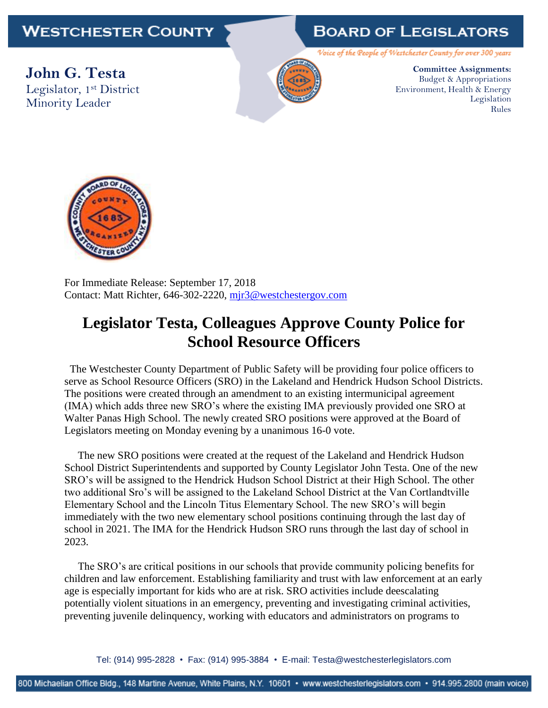## **WESTCHESTER COUNTY**

## **BOARD OF LEGISLATORS**

Voice of the People of Westchester County for over 300 years

**John G. Testa** Legislator, 1st District Minority Leader



**Committee Assignments:** Budget & Appropriations Environment, Health & Energy Legislation Rules



For Immediate Release: September 17, 2018 Contact: Matt Richter, 646-302-2220, [mjr3@westchestergov.com](mailto:mjr3@westchestergov.com)

## **Legislator Testa, Colleagues Approve County Police for School Resource Officers**

 The Westchester County Department of Public Safety will be providing four police officers to serve as School Resource Officers (SRO) in the Lakeland and Hendrick Hudson School Districts. The positions were created through an amendment to an existing intermunicipal agreement (IMA) which adds three new SRO's where the existing IMA previously provided one SRO at Walter Panas High School. The newly created SRO positions were approved at the Board of Legislators meeting on Monday evening by a unanimous 16-0 vote.

 The new SRO positions were created at the request of the Lakeland and Hendrick Hudson School District Superintendents and supported by County Legislator John Testa. One of the new SRO's will be assigned to the Hendrick Hudson School District at their High School. The other two additional Sro's will be assigned to the Lakeland School District at the Van Cortlandtville Elementary School and the Lincoln Titus Elementary School. The new SRO's will begin immediately with the two new elementary school positions continuing through the last day of school in 2021. The IMA for the Hendrick Hudson SRO runs through the last day of school in 2023.

 The SRO's are critical positions in our schools that provide community policing benefits for children and law enforcement. Establishing familiarity and trust with law enforcement at an early age is especially important for kids who are at risk. SRO activities include deescalating potentially violent situations in an emergency, preventing and investigating criminal activities, preventing juvenile delinquency, working with educators and administrators on programs to

Tel: (914) 995-2828 • Fax: (914) 995-3884 • E-mail: Testa@westchesterlegislators.com